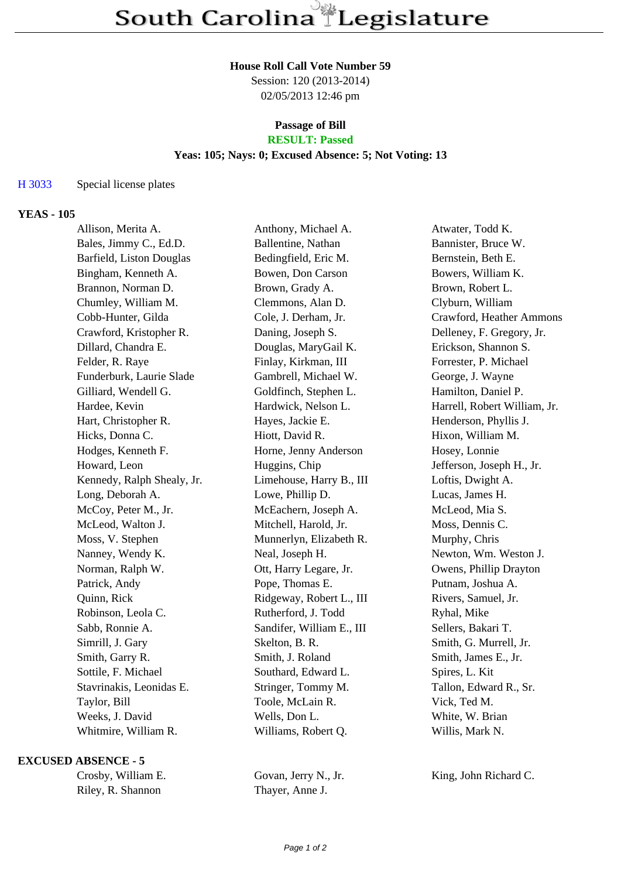## **House Roll Call Vote Number 59**

Session: 120 (2013-2014) 02/05/2013 12:46 pm

### **Passage of Bill RESULT: Passed**

# **Yeas: 105; Nays: 0; Excused Absence: 5; Not Voting: 13**

#### H 3033 Special license plates

# **YEAS - 105**

| Allison, Merita A.       | Anthony, Michael A.                                            | Atwater, Todd K.             |
|--------------------------|----------------------------------------------------------------|------------------------------|
| Bales, Jimmy C., Ed.D.   | Ballentine, Nathan                                             | Bannister, Bruce W.          |
| Barfield, Liston Douglas | Bedingfield, Eric M.                                           | Bernstein, Beth E.           |
| Bingham, Kenneth A.      | Bowen, Don Carson                                              | Bowers, William K.           |
| Brannon, Norman D.       | Brown, Grady A.                                                | Brown, Robert L.             |
| Chumley, William M.      | Clemmons, Alan D.                                              | Clyburn, William             |
| Cobb-Hunter, Gilda       | Cole, J. Derham, Jr.                                           | Crawford, Heather Ammons     |
| Crawford, Kristopher R.  | Daning, Joseph S.                                              | Delleney, F. Gregory, Jr.    |
| Dillard, Chandra E.      | Douglas, MaryGail K.                                           | Erickson, Shannon S.         |
|                          | Finlay, Kirkman, III                                           | Forrester, P. Michael        |
| Funderburk, Laurie Slade | Gambrell, Michael W.                                           | George, J. Wayne             |
| Gilliard, Wendell G.     | Goldfinch, Stephen L.                                          | Hamilton, Daniel P.          |
|                          |                                                                | Harrell, Robert William, Jr. |
| Hart, Christopher R.     | Hayes, Jackie E.                                               | Henderson, Phyllis J.        |
| Hicks, Donna C.          | Hiott, David R.                                                | Hixon, William M.            |
| Hodges, Kenneth F.       | Horne, Jenny Anderson                                          | Hosey, Lonnie                |
| Howard, Leon             | Huggins, Chip                                                  | Jefferson, Joseph H., Jr.    |
|                          | Limehouse, Harry B., III                                       | Loftis, Dwight A.            |
| Long, Deborah A.         | Lowe, Phillip D.                                               | Lucas, James H.              |
| McCoy, Peter M., Jr.     | McEachern, Joseph A.                                           | McLeod, Mia S.               |
| McLeod, Walton J.        | Mitchell, Harold, Jr.                                          | Moss, Dennis C.              |
| Moss, V. Stephen         | Munnerlyn, Elizabeth R.                                        | Murphy, Chris                |
| Nanney, Wendy K.         | Neal, Joseph H.                                                | Newton, Wm. Weston J.        |
| Norman, Ralph W.         | Ott, Harry Legare, Jr.                                         | Owens, Phillip Drayton       |
| Patrick, Andy            | Pope, Thomas E.                                                | Putnam, Joshua A.            |
| Quinn, Rick              | Ridgeway, Robert L., III                                       | Rivers, Samuel, Jr.          |
| Robinson, Leola C.       | Rutherford, J. Todd                                            | Ryhal, Mike                  |
| Sabb, Ronnie A.          | Sandifer, William E., III                                      | Sellers, Bakari T.           |
| Simrill, J. Gary         | Skelton, B. R.                                                 | Smith, G. Murrell, Jr.       |
| Smith, Garry R.          | Smith, J. Roland                                               | Smith, James E., Jr.         |
| Sottile, F. Michael      | Southard, Edward L.                                            | Spires, L. Kit               |
| Stavrinakis, Leonidas E. | Stringer, Tommy M.                                             | Tallon, Edward R., Sr.       |
| Taylor, Bill             | Toole, McLain R.                                               | Vick, Ted M.                 |
| Weeks, J. David          | Wells, Don L.                                                  | White, W. Brian              |
| Whitmire, William R.     | Williams, Robert Q.                                            | Willis, Mark N.              |
|                          | Felder, R. Raye<br>Hardee, Kevin<br>Kennedy, Ralph Shealy, Jr. | Hardwick, Nelson L.          |

#### **EXCUSED ABSENCE - 5**

| Crosby, William E. | Govan, Jerry N., Jr. | King, John Richard C. |
|--------------------|----------------------|-----------------------|
| Riley, R. Shannon  | Thayer, Anne J.      |                       |